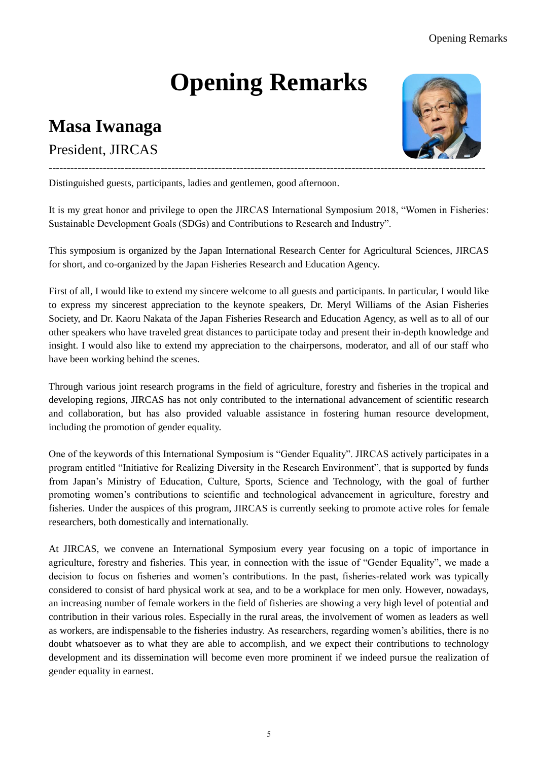## **Opening Remarks**

## **Masa Iwanaga**

## President, JIRCAS



Distinguished guests, participants, ladies and gentlemen, good afternoon.

It is my great honor and privilege to open the JIRCAS International Symposium 2018, "Women in Fisheries: Sustainable Development Goals (SDGs) and Contributions to Research and Industry".

This symposium is organized by the Japan International Research Center for Agricultural Sciences, JIRCAS for short, and co-organized by the Japan Fisheries Research and Education Agency.

First of all, I would like to extend my sincere welcome to all guests and participants. In particular, I would like to express my sincerest appreciation to the keynote speakers, Dr. Meryl Williams of the Asian Fisheries Society, and Dr. Kaoru Nakata of the Japan Fisheries Research and Education Agency, as well as to all of our other speakers who have traveled great distances to participate today and present their in-depth knowledge and insight. I would also like to extend my appreciation to the chairpersons, moderator, and all of our staff who have been working behind the scenes.

Through various joint research programs in the field of agriculture, forestry and fisheries in the tropical and developing regions, JIRCAS has not only contributed to the international advancement of scientific research and collaboration, but has also provided valuable assistance in fostering human resource development, including the promotion of gender equality.

One of the keywords of this International Symposium is "Gender Equality". JIRCAS actively participates in a program entitled "Initiative for Realizing Diversity in the Research Environment", that is supported by funds from Japan's Ministry of Education, Culture, Sports, Science and Technology, with the goal of further promoting women's contributions to scientific and technological advancement in agriculture, forestry and fisheries. Under the auspices of this program, JIRCAS is currently seeking to promote active roles for female researchers, both domestically and internationally.

At JIRCAS, we convene an International Symposium every year focusing on a topic of importance in agriculture, forestry and fisheries. This year, in connection with the issue of "Gender Equality", we made a decision to focus on fisheries and women's contributions. In the past, fisheries-related work was typically considered to consist of hard physical work at sea, and to be a workplace for men only. However, nowadays, an increasing number of female workers in the field of fisheries are showing a very high level of potential and contribution in their various roles. Especially in the rural areas, the involvement of women as leaders as well as workers, are indispensable to the fisheries industry. As researchers, regarding women's abilities, there is no doubt whatsoever as to what they are able to accomplish, and we expect their contributions to technology development and its dissemination will become even more prominent if we indeed pursue the realization of gender equality in earnest.